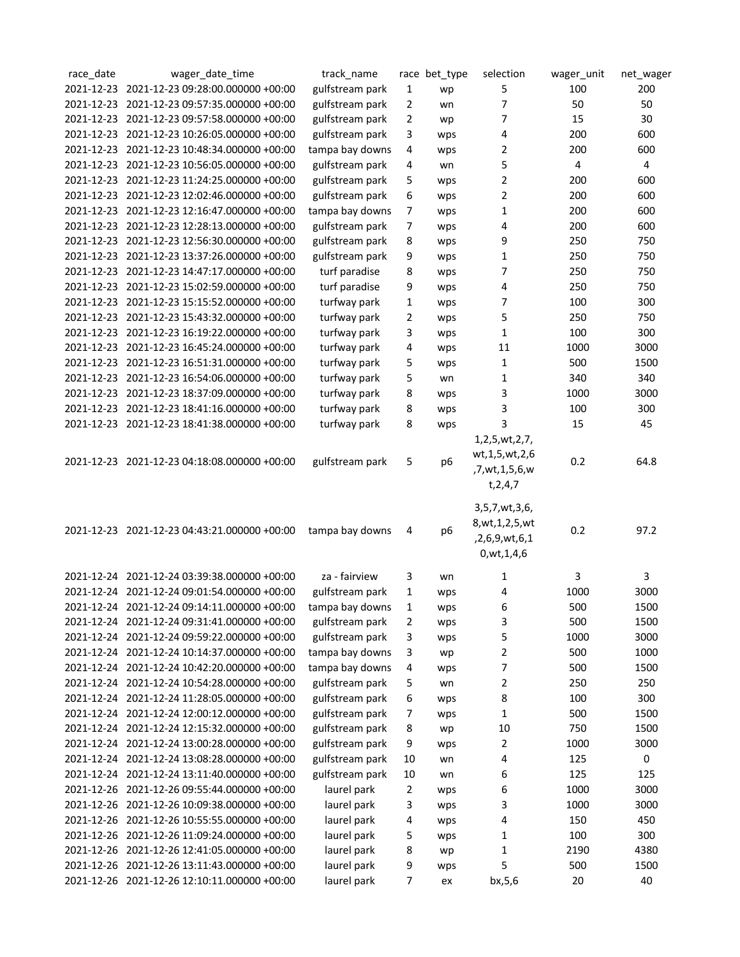| race_date | wager_date_time                              | track_name      |              | race bet_type  | selection          | wager_unit | net_wager               |
|-----------|----------------------------------------------|-----------------|--------------|----------------|--------------------|------------|-------------------------|
|           | 2021-12-23 2021-12-23 09:28:00.000000 +00:00 | gulfstream park | 1            | wp             | 5                  | 100        | 200                     |
|           | 2021-12-23 2021-12-23 09:57:35.000000 +00:00 | gulfstream park | 2            | wn             | 7                  | 50         | 50                      |
|           | 2021-12-23 2021-12-23 09:57:58.000000 +00:00 | gulfstream park | 2            | wp             | 7                  | 15         | 30                      |
|           | 2021-12-23 2021-12-23 10:26:05.000000 +00:00 | gulfstream park | 3            | wps            | 4                  | 200        | 600                     |
|           | 2021-12-23 2021-12-23 10:48:34.000000 +00:00 | tampa bay downs | 4            | wps            | 2                  | 200        | 600                     |
|           | 2021-12-23 2021-12-23 10:56:05.000000 +00:00 | gulfstream park | 4            | wn             | 5                  | 4          | $\overline{\mathbf{4}}$ |
|           | 2021-12-23 2021-12-23 11:24:25.000000 +00:00 | gulfstream park | 5            | wps            | 2                  | 200        | 600                     |
|           | 2021-12-23 2021-12-23 12:02:46.000000 +00:00 | gulfstream park | 6            | wps            | 2                  | 200        | 600                     |
|           | 2021-12-23 2021-12-23 12:16:47.000000 +00:00 | tampa bay downs | 7            | wps            | 1                  | 200        | 600                     |
|           | 2021-12-23 2021-12-23 12:28:13.000000 +00:00 | gulfstream park | 7            | wps            | 4                  | 200        | 600                     |
|           | 2021-12-23 2021-12-23 12:56:30.000000 +00:00 | gulfstream park | 8            | wps            | 9                  | 250        | 750                     |
|           | 2021-12-23 2021-12-23 13:37:26.000000 +00:00 | gulfstream park | 9            | wps            | 1                  | 250        | 750                     |
|           | 2021-12-23 2021-12-23 14:47:17.000000 +00:00 | turf paradise   | 8            | wps            | 7                  | 250        | 750                     |
|           | 2021-12-23 2021-12-23 15:02:59.000000 +00:00 | turf paradise   | 9            |                | 4                  | 250        | 750                     |
|           | 2021-12-23 2021-12-23 15:15:52.000000 +00:00 |                 |              | wps            |                    | 100        | 300                     |
|           |                                              | turfway park    | 1            | wps            | 7                  |            |                         |
|           | 2021-12-23 2021-12-23 15:43:32.000000 +00:00 | turfway park    | 2            | wps            | 5                  | 250        | 750                     |
|           | 2021-12-23 2021-12-23 16:19:22.000000 +00:00 | turfway park    | 3            | wps            | 1                  | 100        | 300                     |
|           | 2021-12-23 2021-12-23 16:45:24.000000 +00:00 | turfway park    | 4            | wps            | 11                 | 1000       | 3000                    |
|           | 2021-12-23 2021-12-23 16:51:31.000000 +00:00 | turfway park    | 5            | wps            | 1                  | 500        | 1500                    |
|           | 2021-12-23 2021-12-23 16:54:06.000000 +00:00 | turfway park    | 5            | wn             | 1                  | 340        | 340                     |
|           | 2021-12-23 2021-12-23 18:37:09.000000 +00:00 | turfway park    | 8            | wps            | 3                  | 1000       | 3000                    |
|           | 2021-12-23 2021-12-23 18:41:16.000000 +00:00 | turfway park    | 8            | wps            | 3                  | 100        | 300                     |
|           | 2021-12-23 2021-12-23 18:41:38.000000 +00:00 | turfway park    | 8            | wps            | 3                  | 15         | 45                      |
|           |                                              |                 |              |                | 1,2,5,wt,2,7,      |            |                         |
|           | 2021-12-23 2021-12-23 04:18:08.000000 +00:00 | gulfstream park | 5            | p <sub>6</sub> | wt, 1, 5, wt, 2, 6 | 0.2        | 64.8                    |
|           |                                              |                 |              |                | ,7,wt,1,5,6,w      |            |                         |
|           |                                              |                 |              |                | t, 2, 4, 7         |            |                         |
|           |                                              |                 |              |                | 3,5,7,wt,3,6,      |            |                         |
|           |                                              |                 |              |                | 8, wt, 1, 2, 5, wt |            |                         |
|           | 2021-12-23 2021-12-23 04:43:21.000000 +00:00 | tampa bay downs | 4            | p <sub>6</sub> | ,2,6,9,wt,6,1      | 0.2        | 97.2                    |
|           |                                              |                 |              |                | 0, wt, 1, 4, 6     |            |                         |
|           |                                              |                 |              |                |                    |            |                         |
|           | 2021-12-24 2021-12-24 03:39:38.000000 +00:00 | za - fairview   | 3            | wn             | 1                  | 3          | 3                       |
|           | 2021-12-24 2021-12-24 09:01:54.000000 +00:00 | gulfstream park | 1            | wps            | 4                  | 1000       | 3000                    |
|           | 2021-12-24 2021-12-24 09:14:11.000000 +00:00 | tampa bay downs | 1            | wps            | 6                  | 500        | 1500                    |
|           | 2021-12-24 2021-12-24 09:31:41.000000 +00:00 | gulfstream park | 2            | wps            | 3                  | 500        | 1500                    |
|           | 2021-12-24 2021-12-24 09:59:22.000000 +00:00 | gulfstream park | 3            | wps            | 5                  | 1000       | 3000                    |
|           | 2021-12-24 2021-12-24 10:14:37.000000 +00:00 | tampa bay downs | 3            | wp             | 2                  | 500        | 1000                    |
|           | 2021-12-24 2021-12-24 10:42:20.000000 +00:00 | tampa bay downs | 4            | wps            | 7                  | 500        | 1500                    |
|           | 2021-12-24 2021-12-24 10:54:28.000000 +00:00 | gulfstream park | 5            | wn             | 2                  | 250        | 250                     |
|           | 2021-12-24 2021-12-24 11:28:05.000000 +00:00 | gulfstream park | 6            | wps            | 8                  | 100        | 300                     |
|           | 2021-12-24 2021-12-24 12:00:12.000000 +00:00 | gulfstream park | 7            | wps            | 1                  | 500        | 1500                    |
|           | 2021-12-24 2021-12-24 12:15:32.000000 +00:00 | gulfstream park | 8            | wp             | 10                 | 750        | 1500                    |
|           | 2021-12-24 2021-12-24 13:00:28.000000 +00:00 | gulfstream park | 9            | wps            | 2                  | 1000       | 3000                    |
|           | 2021-12-24 2021-12-24 13:08:28.000000 +00:00 | gulfstream park | 10           | wn             | 4                  | 125        | 0                       |
|           | 2021-12-24 2021-12-24 13:11:40.000000 +00:00 | gulfstream park | 10           | wn             | 6                  | 125        | 125                     |
|           | 2021-12-26 2021-12-26 09:55:44.000000 +00:00 | laurel park     | $\mathbf{2}$ | wps            | 6                  | 1000       | 3000                    |
|           | 2021-12-26 2021-12-26 10:09:38.000000 +00:00 | laurel park     | 3            | wps            | 3                  | 1000       | 3000                    |
|           | 2021-12-26 2021-12-26 10:55:55.000000 +00:00 | laurel park     | 4            | wps            | 4                  | 150        | 450                     |
|           | 2021-12-26 2021-12-26 11:09:24.000000 +00:00 | laurel park     | 5            | wps            | 1                  | 100        | 300                     |
|           | 2021-12-26 2021-12-26 12:41:05.000000 +00:00 | laurel park     | 8            | wp             | 1                  | 2190       | 4380                    |
|           | 2021-12-26 2021-12-26 13:11:43.000000 +00:00 | laurel park     | 9            | wps            | 5                  | 500        | 1500                    |
|           | 2021-12-26 2021-12-26 12:10:11.000000 +00:00 | laurel park     | 7            | ex             | bx, 5, 6           | 20         | 40                      |
|           |                                              |                 |              |                |                    |            |                         |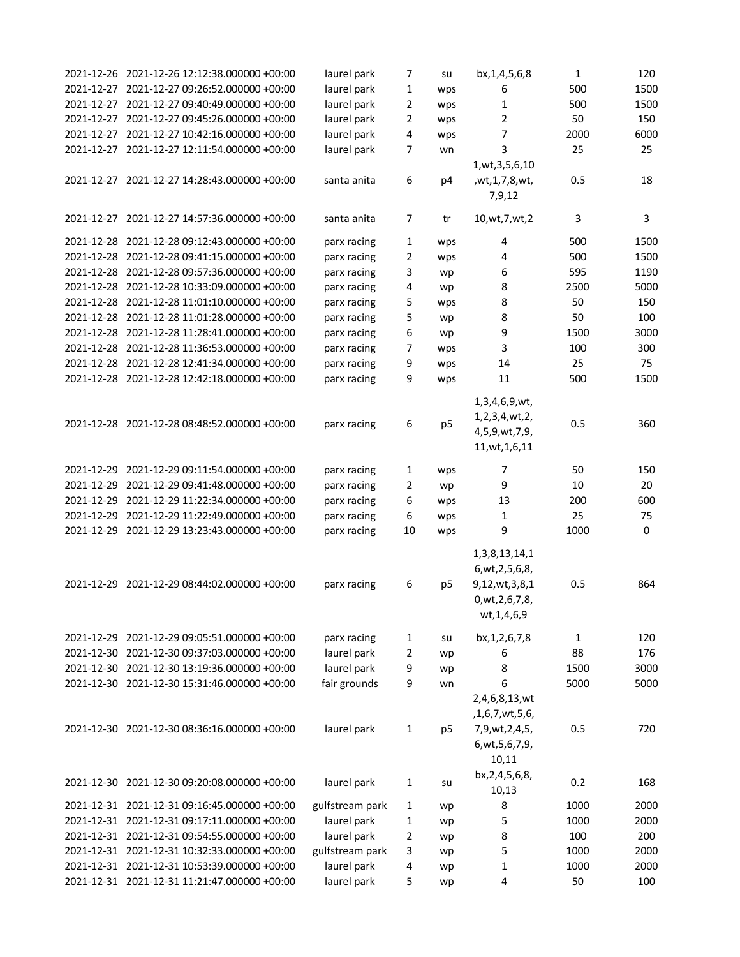| 2021-12-26 2021-12-26 12:12:38.000000 +00:00 | laurel park     | 7  | su             | bx, 1, 4, 5, 6, 8  | $\mathbf{1}$ | 120  |
|----------------------------------------------|-----------------|----|----------------|--------------------|--------------|------|
| 2021-12-27 2021-12-27 09:26:52.000000 +00:00 | laurel park     | 1  | wps            | 6                  | 500          | 1500 |
| 2021-12-27 2021-12-27 09:40:49.000000 +00:00 | laurel park     | 2  | wps            | 1                  | 500          | 1500 |
| 2021-12-27 2021-12-27 09:45:26.000000 +00:00 | laurel park     | 2  | wps            | $\overline{2}$     | 50           | 150  |
| 2021-12-27 2021-12-27 10:42:16.000000 +00:00 | laurel park     | 4  | wps            | 7                  | 2000         | 6000 |
| 2021-12-27 2021-12-27 12:11:54.000000 +00:00 | laurel park     | 7  | wn             | 3                  | 25           | 25   |
|                                              |                 |    |                | 1, wt, 3, 5, 6, 10 |              |      |
| 2021-12-27 2021-12-27 14:28:43.000000 +00:00 | santa anita     | 6  | p4             | , wt, 1, 7, 8, wt, | 0.5          | 18   |
|                                              |                 |    |                | 7,9,12             |              |      |
| 2021-12-27 2021-12-27 14:57:36.000000 +00:00 | santa anita     | 7  | tr             | 10, wt, 7, wt, 2   | 3            | 3    |
| 2021-12-28 2021-12-28 09:12:43.000000 +00:00 | parx racing     | 1  | wps            | 4                  | 500          | 1500 |
| 2021-12-28 2021-12-28 09:41:15.000000 +00:00 | parx racing     | 2  | wps            | 4                  | 500          | 1500 |
| 2021-12-28 2021-12-28 09:57:36.000000 +00:00 | parx racing     | 3  | wp             | 6                  | 595          | 1190 |
| 2021-12-28 2021-12-28 10:33:09.000000 +00:00 | parx racing     | 4  | wp             | 8                  | 2500         | 5000 |
| 2021-12-28 2021-12-28 11:01:10.000000 +00:00 | parx racing     | 5  | wps            | 8                  | 50           | 150  |
| 2021-12-28 2021-12-28 11:01:28.000000 +00:00 | parx racing     | 5  | wp             | 8                  | 50           | 100  |
| 2021-12-28 2021-12-28 11:28:41.000000 +00:00 | parx racing     | 6  | wp             | 9                  | 1500         | 3000 |
| 2021-12-28 2021-12-28 11:36:53.000000 +00:00 | parx racing     | 7  | wps            | 3                  | 100          | 300  |
| 2021-12-28 2021-12-28 12:41:34.000000 +00:00 | parx racing     | 9  | wps            | 14                 | 25           | 75   |
| 2021-12-28 2021-12-28 12:42:18.000000 +00:00 | parx racing     | 9  | wps            | 11                 | 500          | 1500 |
|                                              |                 |    |                | 1,3,4,6,9,wt,      |              |      |
|                                              |                 |    |                | 1,2,3,4,wt,2,      |              |      |
| 2021-12-28 2021-12-28 08:48:52.000000 +00:00 | parx racing     | 6  | p <sub>5</sub> | 4,5,9,wt,7,9,      | 0.5          | 360  |
|                                              |                 |    |                | 11, wt, 1, 6, 11   |              |      |
| 2021-12-29 2021-12-29 09:11:54.000000 +00:00 | parx racing     | 1  | wps            | 7                  | 50           | 150  |
| 2021-12-29 2021-12-29 09:41:48.000000 +00:00 | parx racing     | 2  | wp             | 9                  | 10           | 20   |
| 2021-12-29 2021-12-29 11:22:34.000000 +00:00 | parx racing     | 6  | wps            | 13                 | 200          | 600  |
| 2021-12-29 2021-12-29 11:22:49.000000 +00:00 | parx racing     | 6  | wps            | 1                  | 25           | 75   |
| 2021-12-29 2021-12-29 13:23:43.000000 +00:00 | parx racing     | 10 | wps            | 9                  | 1000         | 0    |
|                                              |                 |    |                | 1, 3, 8, 13, 14, 1 |              |      |
|                                              |                 |    |                | 6, wt, 2, 5, 6, 8, |              |      |
| 2021-12-29 2021-12-29 08:44:02.000000 +00:00 | parx racing     | 6  | p <sub>5</sub> | 9,12,wt,3,8,1      | 0.5          | 864  |
|                                              |                 |    |                | 0, wt, 2, 6, 7, 8, |              |      |
|                                              |                 |    |                | wt, 1, 4, 6, 9     |              |      |
| 2021-12-29 2021-12-29 09:05:51.000000 +00:00 | parx racing     | 1  | su             | bx, 1, 2, 6, 7, 8  | $\mathbf{1}$ | 120  |
| 2021-12-30 2021-12-30 09:37:03.000000 +00:00 | laurel park     | 2  | wp             | 6                  | 88           | 176  |
| 2021-12-30 2021-12-30 13:19:36.000000 +00:00 | laurel park     | 9  | wp             | 8                  | 1500         | 3000 |
| 2021-12-30 2021-12-30 15:31:46.000000 +00:00 | fair grounds    | 9  | wn             | 6                  | 5000         | 5000 |
|                                              |                 |    |                | 2,4,6,8,13,wt      |              |      |
|                                              |                 |    |                | ,1,6,7,wt,5,6,     |              |      |
| 2021-12-30 2021-12-30 08:36:16.000000 +00:00 | laurel park     | 1  | p <sub>5</sub> | 7,9,wt,2,4,5,      | 0.5          | 720  |
|                                              |                 |    |                | 6, wt, 5, 6, 7, 9, |              |      |
|                                              |                 |    |                | 10,11              |              |      |
|                                              |                 |    |                | bx, 2, 4, 5, 6, 8, |              |      |
| 2021-12-30 2021-12-30 09:20:08.000000 +00:00 | laurel park     | 1  | su             | 10,13              | 0.2          | 168  |
| 2021-12-31 2021-12-31 09:16:45.000000 +00:00 | gulfstream park | 1  | wp             | 8                  | 1000         | 2000 |
| 2021-12-31 2021-12-31 09:17:11.000000 +00:00 | laurel park     | 1  | wp             | 5                  | 1000         | 2000 |
| 2021-12-31 2021-12-31 09:54:55.000000 +00:00 | laurel park     | 2  | wp             | 8                  | 100          | 200  |
| 2021-12-31 2021-12-31 10:32:33.000000 +00:00 | gulfstream park | 3  | wp             | 5                  | 1000         | 2000 |
| 2021-12-31 2021-12-31 10:53:39.000000 +00:00 | laurel park     | 4  | wp             | 1                  | 1000         | 2000 |
| 2021-12-31 2021-12-31 11:21:47.000000 +00:00 | laurel park     | 5  | wp             | 4                  | 50           | 100  |